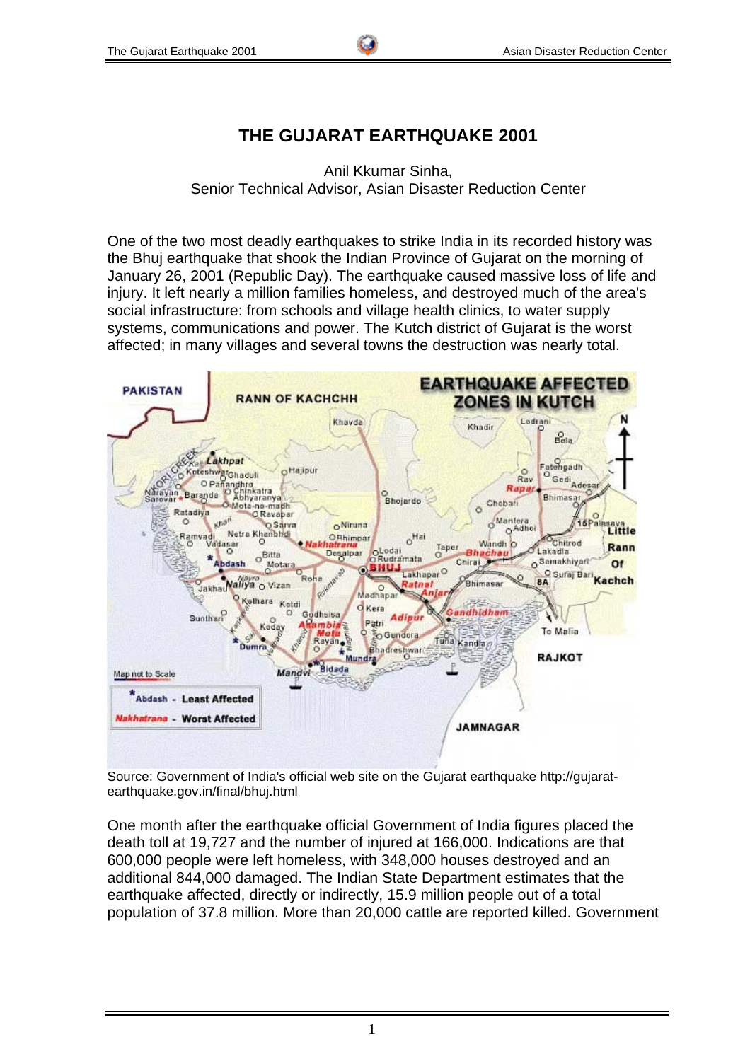# **THE GUJARAT EARTHQUAKE 2001**

Anil Kkumar Sinha, Senior Technical Advisor, Asian Disaster Reduction Center

One of the two most deadly earthquakes to strike India in its recorded history was the Bhuj earthquake that shook the Indian Province of Gujarat on the morning of January 26, 2001 (Republic Day). The earthquake caused massive loss of life and injury. It left nearly a million families homeless, and destroyed much of the area's social infrastructure: from schools and village health clinics, to water supply systems, communications and power. The Kutch district of Gujarat is the worst affected; in many villages and several towns the destruction was nearly total.



Source: Government of India's official web site on the Gujarat earthquake http://gujaratearthquake.gov.in/final/bhuj.html

One month after the earthquake official Government of India figures placed the death toll at 19,727 and the number of injured at 166,000. Indications are that 600,000 people were left homeless, with 348,000 houses destroyed and an additional 844,000 damaged. The Indian State Department estimates that the earthquake affected, directly or indirectly, 15.9 million people out of a total population of 37.8 million. More than 20,000 cattle are reported killed. Government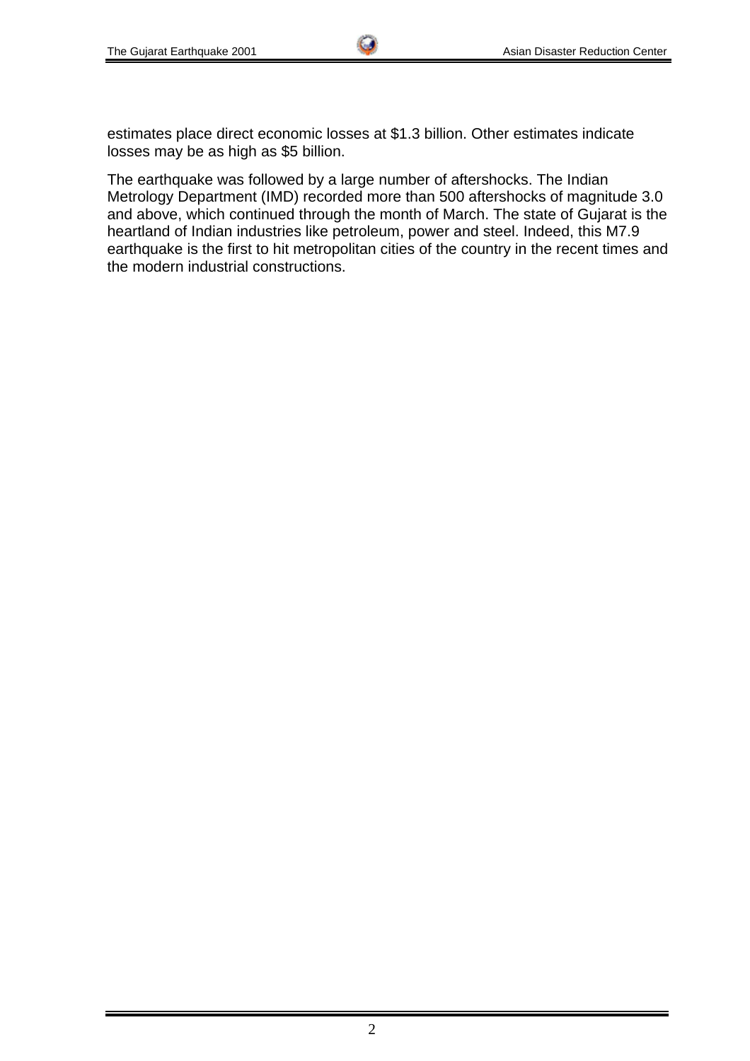estimates place direct economic losses at \$1.3 billion. Other estimates indicate losses may be as high as \$5 billion.

The earthquake was followed by a large number of aftershocks. The Indian Metrology Department (IMD) recorded more than 500 aftershocks of magnitude 3.0 and above, which continued through the month of March. The state of Gujarat is the heartland of Indian industries like petroleum, power and steel. Indeed, this M7.9 earthquake is the first to hit metropolitan cities of the country in the recent times and the modern industrial constructions.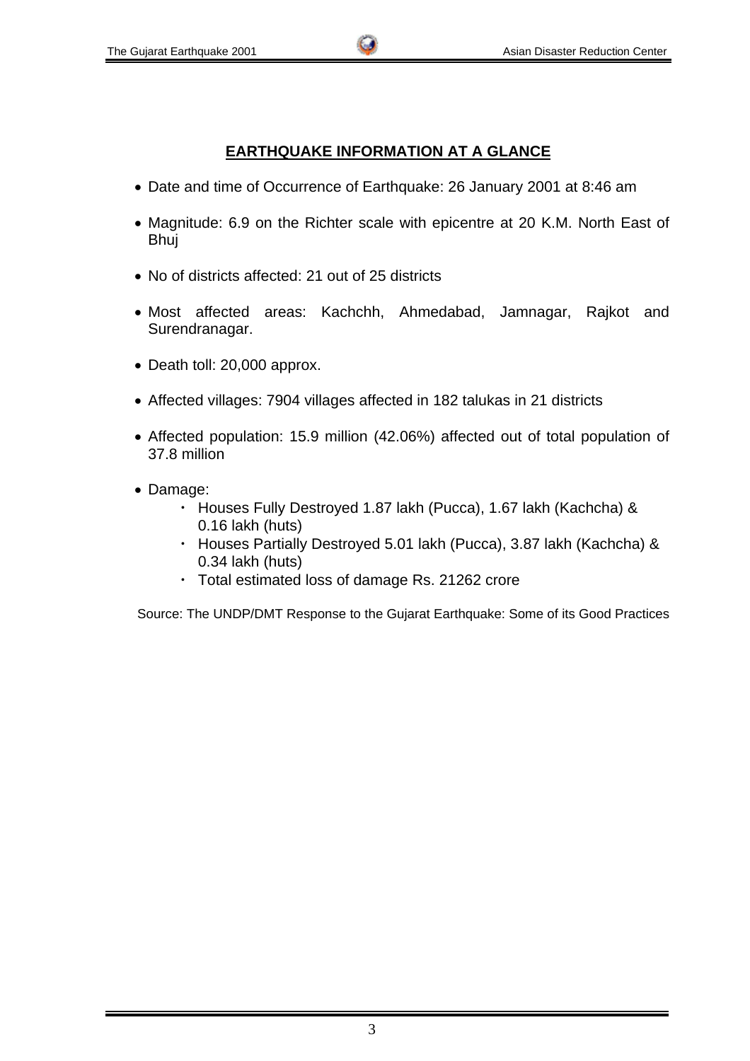# **EARTHQUAKE INFORMATION AT A GLANCE**

- Date and time of Occurrence of Earthquake: 26 January 2001 at 8:46 am
- Magnitude: 6.9 on the Richter scale with epicentre at 20 K.M. North East of Bhuj
- No of districts affected: 21 out of 25 districts
- Most affected areas: Kachchh, Ahmedabad, Jamnagar, Rajkot and Surendranagar.
- Death toll: 20,000 approx.
- Affected villages: 7904 villages affected in 182 talukas in 21 districts
- Affected population: 15.9 million (42.06%) affected out of total population of 37.8 million
- Damage:
	- ・ Houses Fully Destroyed 1.87 lakh (Pucca), 1.67 lakh (Kachcha) & 0.16 lakh (huts)
	- ・ Houses Partially Destroyed 5.01 lakh (Pucca), 3.87 lakh (Kachcha) & 0.34 lakh (huts)
	- ・ Total estimated loss of damage Rs. 21262 crore

Source: The UNDP/DMT Response to the Gujarat Earthquake: Some of its Good Practices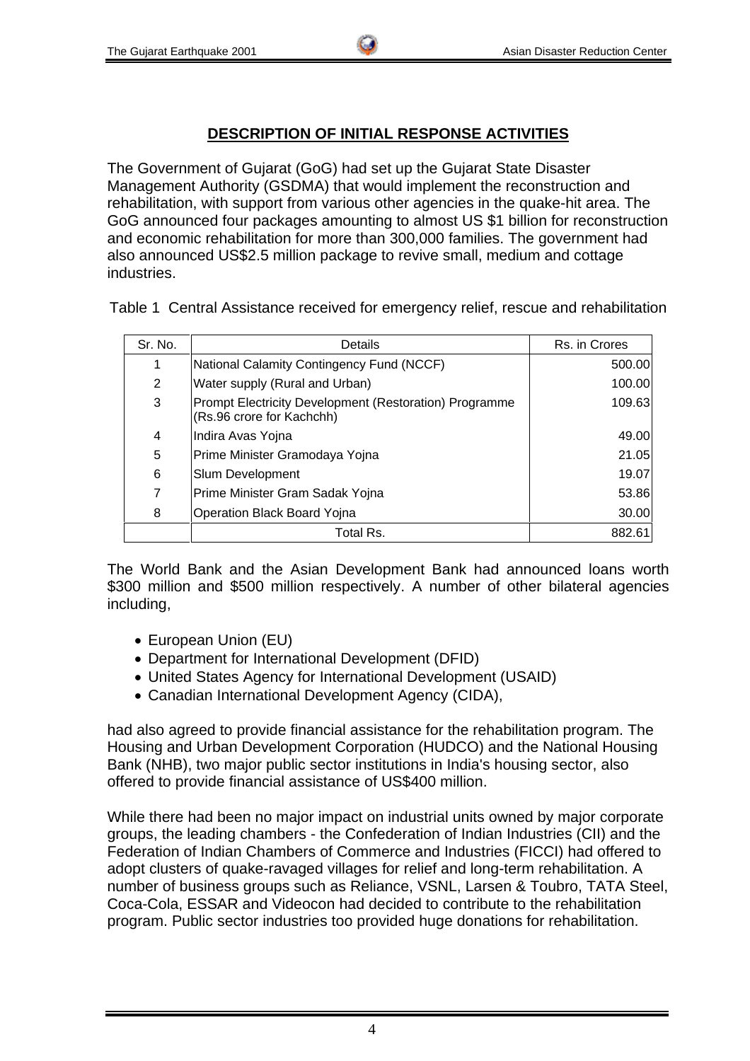## **DESCRIPTION OF INITIAL RESPONSE ACTIVITIES**

The Government of Gujarat (GoG) had set up the Gujarat State Disaster Management Authority (GSDMA) that would implement the reconstruction and rehabilitation, with support from various other agencies in the quake-hit area. The GoG announced four packages amounting to almost US \$1 billion for reconstruction and economic rehabilitation for more than 300,000 families. The government had also announced US\$2.5 million package to revive small, medium and cottage industries.

Table 1 Central Assistance received for emergency relief, rescue and rehabilitation

| Sr. No. | Details                                                                             | Rs. in Crores |
|---------|-------------------------------------------------------------------------------------|---------------|
| 1       | National Calamity Contingency Fund (NCCF)                                           | 500.00        |
| 2       | Water supply (Rural and Urban)                                                      | 100.00        |
| 3       | Prompt Electricity Development (Restoration) Programme<br>(Rs.96 crore for Kachchh) | 109.63        |
| 4       | Indira Avas Yojna                                                                   | 49.00         |
| 5       | Prime Minister Gramodaya Yojna                                                      | 21.05         |
| 6       | Slum Development                                                                    | 19.07         |
| 7       | Prime Minister Gram Sadak Yojna                                                     | 53.86         |
| 8       | Operation Black Board Yojna                                                         | 30.00         |
|         | Total Rs.                                                                           | 882.61        |

The World Bank and the Asian Development Bank had announced loans worth \$300 million and \$500 million respectively. A number of other bilateral agencies including,

- European Union (EU)
- Department for International Development (DFID)
- United States Agency for International Development (USAID)
- Canadian International Development Agency (CIDA),

had also agreed to provide financial assistance for the rehabilitation program. The Housing and Urban Development Corporation (HUDCO) and the National Housing Bank (NHB), two major public sector institutions in India's housing sector, also offered to provide financial assistance of US\$400 million.

While there had been no major impact on industrial units owned by major corporate groups, the leading chambers - the Confederation of Indian Industries (CII) and the Federation of Indian Chambers of Commerce and Industries (FICCI) had offered to adopt clusters of quake-ravaged villages for relief and long-term rehabilitation. A number of business groups such as Reliance, VSNL, Larsen & Toubro, TATA Steel, Coca-Cola, ESSAR and Videocon had decided to contribute to the rehabilitation program. Public sector industries too provided huge donations for rehabilitation.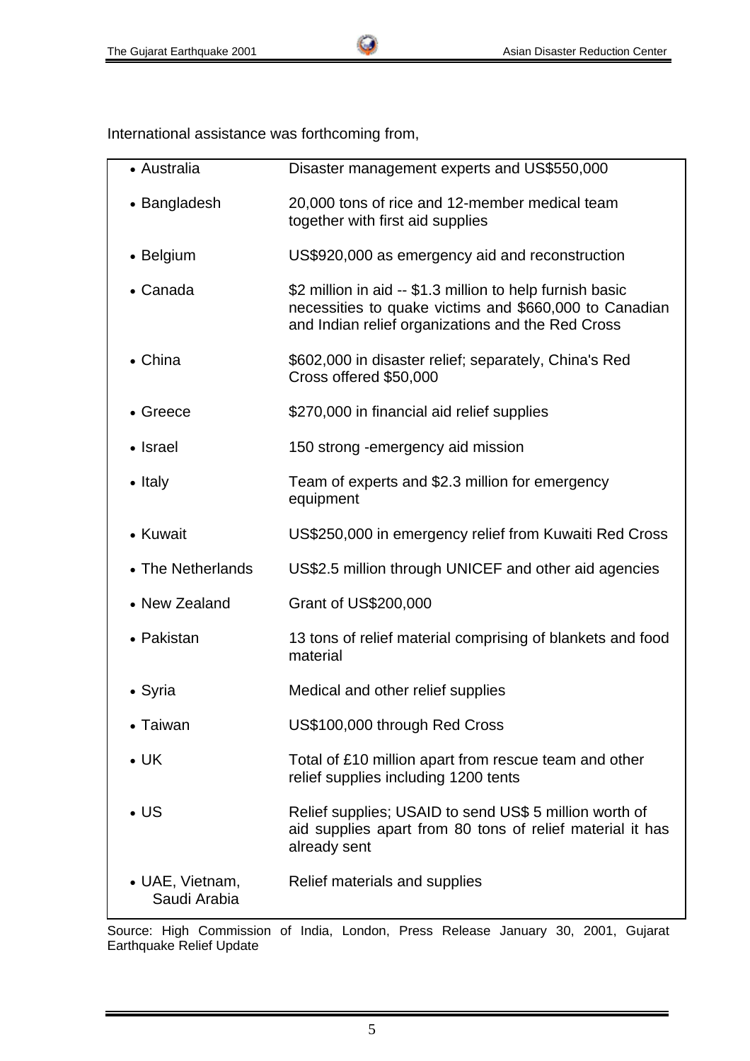International assistance was forthcoming from,

| • Australia                     | Disaster management experts and US\$550,000                                                                                                                              |
|---------------------------------|--------------------------------------------------------------------------------------------------------------------------------------------------------------------------|
| • Bangladesh                    | 20,000 tons of rice and 12-member medical team<br>together with first aid supplies                                                                                       |
| • Belgium                       | US\$920,000 as emergency aid and reconstruction                                                                                                                          |
| • Canada                        | \$2 million in aid -- \$1.3 million to help furnish basic<br>necessities to quake victims and \$660,000 to Canadian<br>and Indian relief organizations and the Red Cross |
| • China                         | \$602,000 in disaster relief; separately, China's Red<br>Cross offered \$50,000                                                                                          |
| $\bullet$ Greece                | \$270,000 in financial aid relief supplies                                                                                                                               |
| • Israel                        | 150 strong - emergency aid mission                                                                                                                                       |
| $\bullet$ Italy                 | Team of experts and \$2.3 million for emergency<br>equipment                                                                                                             |
| • Kuwait                        | US\$250,000 in emergency relief from Kuwaiti Red Cross                                                                                                                   |
| • The Netherlands               | US\$2.5 million through UNICEF and other aid agencies                                                                                                                    |
| • New Zealand                   | Grant of US\$200,000                                                                                                                                                     |
| • Pakistan                      | 13 tons of relief material comprising of blankets and food<br>material                                                                                                   |
| • Syria                         | Medical and other relief supplies                                                                                                                                        |
| Taiwan                          | US\$100,000 through Red Cross                                                                                                                                            |
| $\bullet$ UK                    | Total of £10 million apart from rescue team and other<br>relief supplies including 1200 tents                                                                            |
| $\cdot$ US                      | Relief supplies; USAID to send US\$ 5 million worth of<br>aid supplies apart from 80 tons of relief material it has<br>already sent                                      |
| • UAE, Vietnam,<br>Saudi Arabia | Relief materials and supplies                                                                                                                                            |

Source: High Commission of India, London, Press Release January 30, 2001, Gujarat Earthquake Relief Update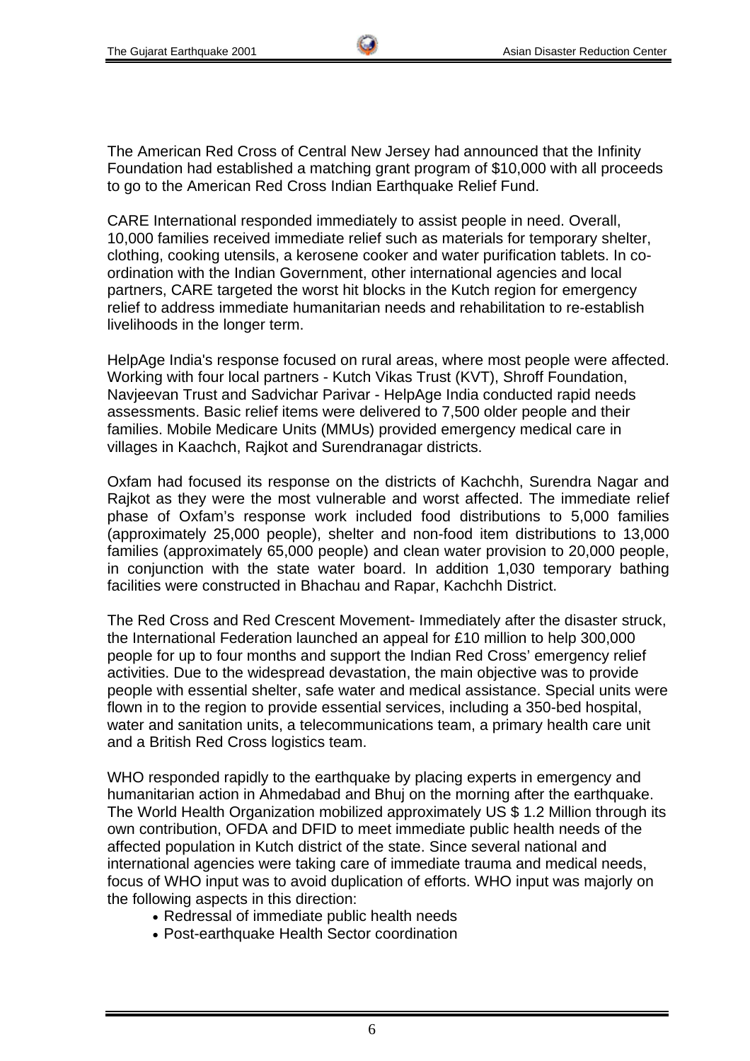The American Red Cross of Central New Jersey had announced that the Infinity Foundation had established a matching grant program of \$10,000 with all proceeds to go to the American Red Cross Indian Earthquake Relief Fund.

CARE International responded immediately to assist people in need. Overall, 10,000 families received immediate relief such as materials for temporary shelter, clothing, cooking utensils, a kerosene cooker and water purification tablets. In coordination with the Indian Government, other international agencies and local partners, CARE targeted the worst hit blocks in the Kutch region for emergency relief to address immediate humanitarian needs and rehabilitation to re-establish livelihoods in the longer term.

HelpAge India's response focused on rural areas, where most people were affected. Working with four local partners - Kutch Vikas Trust (KVT), Shroff Foundation, Navjeevan Trust and Sadvichar Parivar - HelpAge India conducted rapid needs assessments. Basic relief items were delivered to 7,500 older people and their families. Mobile Medicare Units (MMUs) provided emergency medical care in villages in Kaachch, Rajkot and Surendranagar districts.

Oxfam had focused its response on the districts of Kachchh, Surendra Nagar and Rajkot as they were the most vulnerable and worst affected. The immediate relief phase of Oxfam's response work included food distributions to 5,000 families (approximately 25,000 people), shelter and non-food item distributions to 13,000 families (approximately 65,000 people) and clean water provision to 20,000 people, in conjunction with the state water board. In addition 1,030 temporary bathing facilities were constructed in Bhachau and Rapar, Kachchh District.

The Red Cross and Red Crescent Movement- Immediately after the disaster struck, the International Federation launched an appeal for £10 million to help 300,000 people for up to four months and support the Indian Red Cross' emergency relief activities. Due to the widespread devastation, the main objective was to provide people with essential shelter, safe water and medical assistance. Special units were flown in to the region to provide essential services, including a 350-bed hospital, water and sanitation units, a telecommunications team, a primary health care unit and a British Red Cross logistics team.

WHO responded rapidly to the earthquake by placing experts in emergency and humanitarian action in Ahmedabad and Bhuj on the morning after the earthquake. The World Health Organization mobilized approximately US \$ 1.2 Million through its own contribution, OFDA and DFID to meet immediate public health needs of the affected population in Kutch district of the state. Since several national and international agencies were taking care of immediate trauma and medical needs, focus of WHO input was to avoid duplication of efforts. WHO input was majorly on the following aspects in this direction:

- Redressal of immediate public health needs
- Post-earthquake Health Sector coordination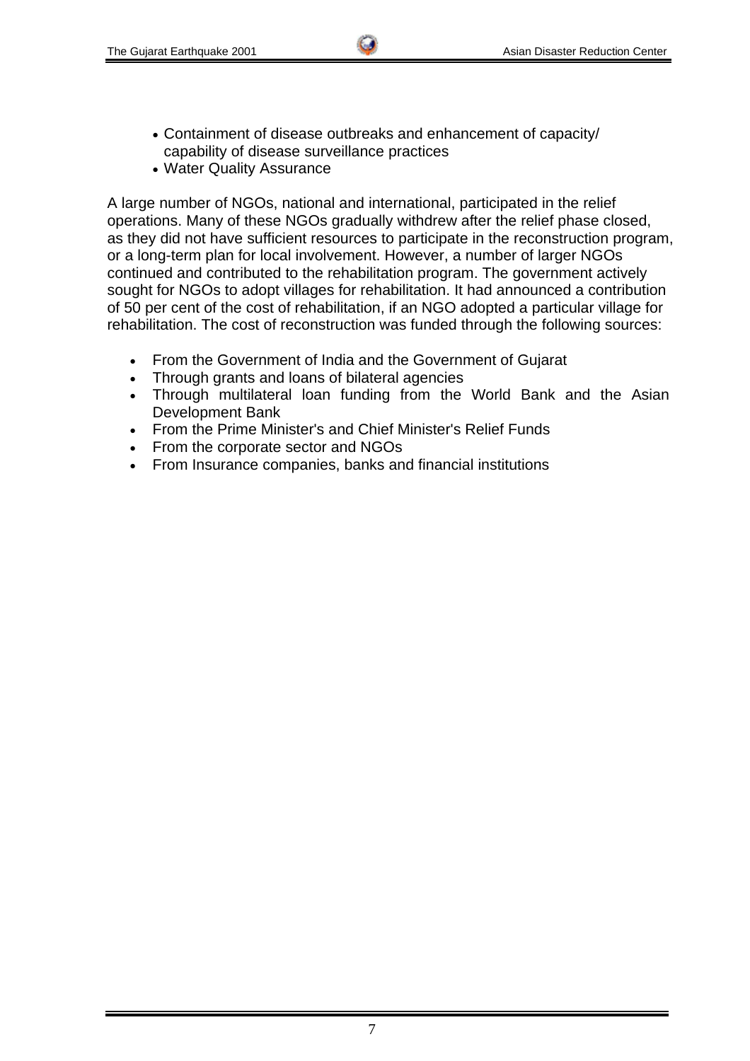- Containment of disease outbreaks and enhancement of capacity/ capability of disease surveillance practices
- Water Quality Assurance

A large number of NGOs, national and international, participated in the relief operations. Many of these NGOs gradually withdrew after the relief phase closed, as they did not have sufficient resources to participate in the reconstruction program, or a long-term plan for local involvement. However, a number of larger NGOs continued and contributed to the rehabilitation program. The government actively sought for NGOs to adopt villages for rehabilitation. It had announced a contribution of 50 per cent of the cost of rehabilitation, if an NGO adopted a particular village for rehabilitation. The cost of reconstruction was funded through the following sources:

- From the Government of India and the Government of Gujarat
- Through grants and loans of bilateral agencies
- Through multilateral loan funding from the World Bank and the Asian Development Bank
- From the Prime Minister's and Chief Minister's Relief Funds
- From the corporate sector and NGOs
- From Insurance companies, banks and financial institutions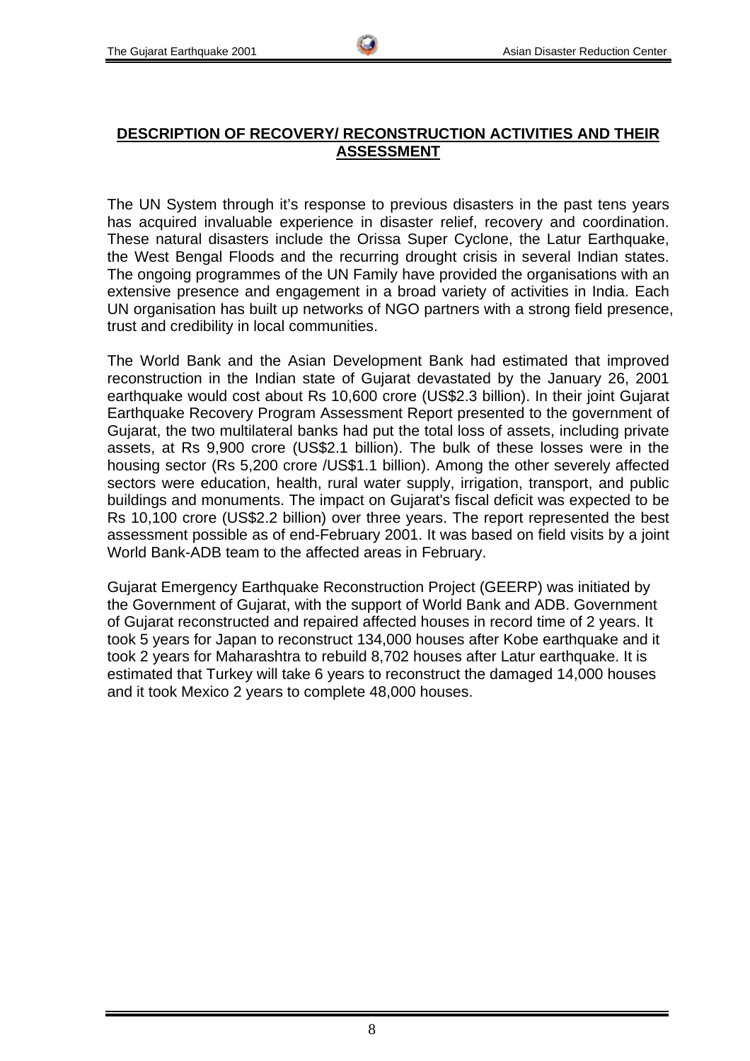# **DESCRIPTION OF RECOVERY/ RECONSTRUCTION ACTIVITIES AND THEIR ASSESSMENT**

The UN System through it's response to previous disasters in the past tens years has acquired invaluable experience in disaster relief, recovery and coordination. These natural disasters include the Orissa Super Cyclone, the Latur Earthquake, the West Bengal Floods and the recurring drought crisis in several Indian states. The ongoing programmes of the UN Family have provided the organisations with an extensive presence and engagement in a broad variety of activities in India. Each UN organisation has built up networks of NGO partners with a strong field presence, trust and credibility in local communities.

The World Bank and the Asian Development Bank had estimated that improved reconstruction in the Indian state of Gujarat devastated by the January 26, 2001 earthquake would cost about Rs 10,600 crore (US\$2.3 billion). In their joint Gujarat Earthquake Recovery Program Assessment Report presented to the government of Gujarat, the two multilateral banks had put the total loss of assets, including private assets, at Rs 9,900 crore (US\$2.1 billion). The bulk of these losses were in the housing sector (Rs 5,200 crore /US\$1.1 billion). Among the other severely affected sectors were education, health, rural water supply, irrigation, transport, and public buildings and monuments. The impact on Gujarat's fiscal deficit was expected to be Rs 10,100 crore (US\$2.2 billion) over three years. The report represented the best assessment possible as of end-February 2001. It was based on field visits by a joint World Bank-ADB team to the affected areas in February.

Gujarat Emergency Earthquake Reconstruction Project (GEERP) was initiated by the Government of Gujarat, with the support of World Bank and ADB. Government of Gujarat reconstructed and repaired affected houses in record time of 2 years. It took 5 years for Japan to reconstruct 134,000 houses after Kobe earthquake and it took 2 years for Maharashtra to rebuild 8,702 houses after Latur earthquake. It is estimated that Turkey will take 6 years to reconstruct the damaged 14,000 houses and it took Mexico 2 years to complete 48,000 houses.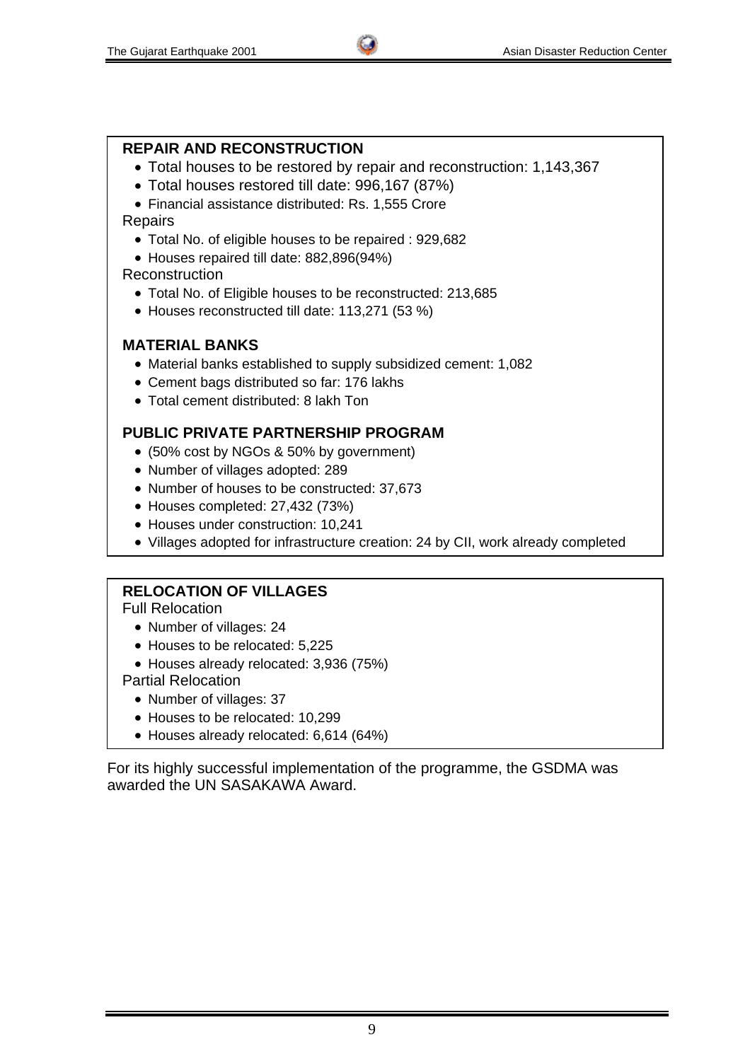### **REPAIR AND RECONSTRUCTION**

- Total houses to be restored by repair and reconstruction: 1,143,367
- Total houses restored till date: 996,167 (87%)

• Financial assistance distributed: Rs. 1,555 Crore **Repairs** 

- Total No. of eligible houses to be repaired : 929,682
- Houses repaired till date: 882,896(94%)

#### Reconstruction

- Total No. of Eligible houses to be reconstructed: 213,685
- Houses reconstructed till date: 113,271 (53 %)

#### **MATERIAL BANKS**

- Material banks established to supply subsidized cement: 1,082
- Cement bags distributed so far: 176 lakhs
- Total cement distributed: 8 lakh Ton

## **PUBLIC PRIVATE PARTNERSHIP PROGRAM**

- (50% cost by NGOs & 50% by government)
- Number of villages adopted: 289
- Number of houses to be constructed: 37,673
- Houses completed: 27,432 (73%)
- Houses under construction: 10,241
- Villages adopted for infrastructure creation: 24 by CII, work already completed

## **RELOCATION OF VILLAGES**

Full Relocation

- Number of villages: 24
- Houses to be relocated: 5.225
- Houses already relocated: 3,936 (75%)

Partial Relocation

- Number of villages: 37
- Houses to be relocated: 10.299
- Houses already relocated: 6,614 (64%)

For its highly successful implementation of the programme, the GSDMA was awarded the UN SASAKAWA Award.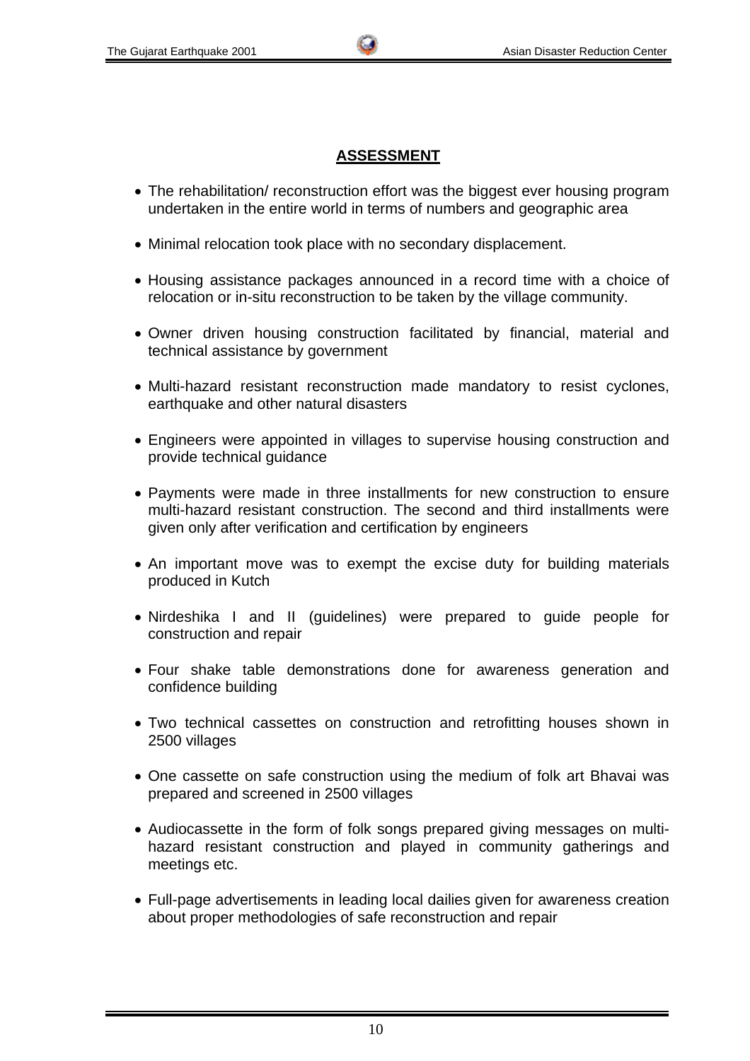# **ASSESSMENT**

- The rehabilitation/ reconstruction effort was the biggest ever housing program undertaken in the entire world in terms of numbers and geographic area
- Minimal relocation took place with no secondary displacement.
- Housing assistance packages announced in a record time with a choice of relocation or in-situ reconstruction to be taken by the village community.
- Owner driven housing construction facilitated by financial, material and technical assistance by government
- Multi-hazard resistant reconstruction made mandatory to resist cyclones, earthquake and other natural disasters
- Engineers were appointed in villages to supervise housing construction and provide technical guidance
- Payments were made in three installments for new construction to ensure multi-hazard resistant construction. The second and third installments were given only after verification and certification by engineers
- An important move was to exempt the excise duty for building materials produced in Kutch
- Nirdeshika I and II (guidelines) were prepared to guide people for construction and repair
- Four shake table demonstrations done for awareness generation and confidence building
- Two technical cassettes on construction and retrofitting houses shown in 2500 villages
- One cassette on safe construction using the medium of folk art Bhavai was prepared and screened in 2500 villages
- Audiocassette in the form of folk songs prepared giving messages on multihazard resistant construction and played in community gatherings and meetings etc.
- Full-page advertisements in leading local dailies given for awareness creation about proper methodologies of safe reconstruction and repair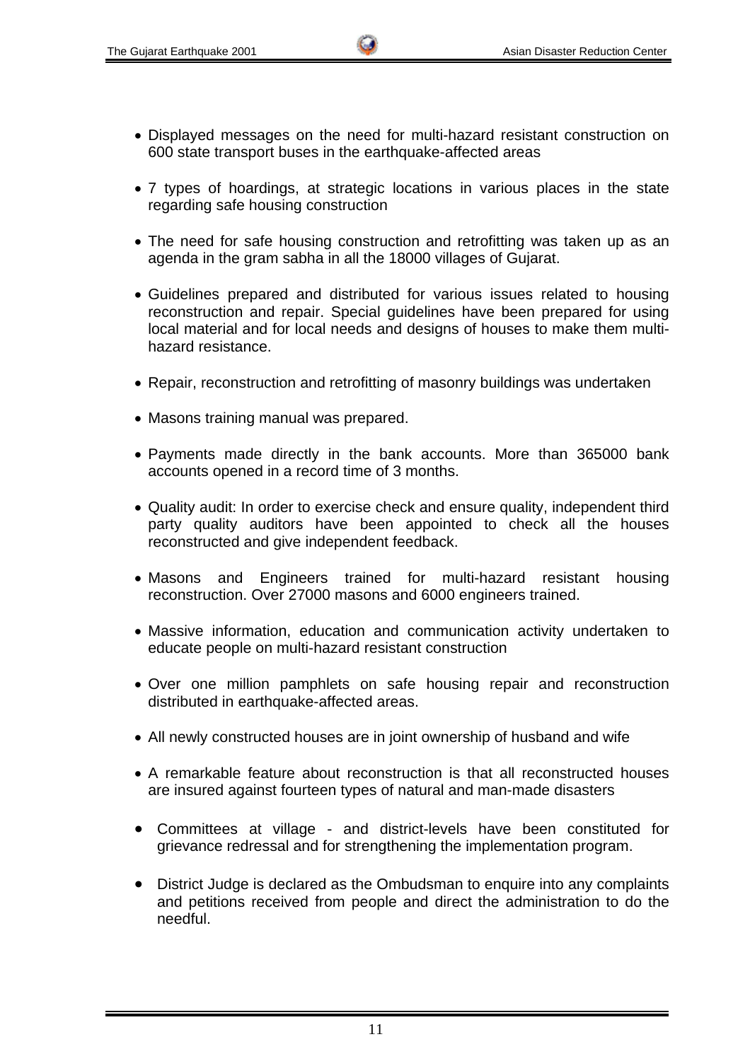- Displayed messages on the need for multi-hazard resistant construction on 600 state transport buses in the earthquake-affected areas
- 7 types of hoardings, at strategic locations in various places in the state regarding safe housing construction
- The need for safe housing construction and retrofitting was taken up as an agenda in the gram sabha in all the 18000 villages of Gujarat.
- Guidelines prepared and distributed for various issues related to housing reconstruction and repair. Special guidelines have been prepared for using local material and for local needs and designs of houses to make them multihazard resistance.
- Repair, reconstruction and retrofitting of masonry buildings was undertaken
- Masons training manual was prepared.
- Payments made directly in the bank accounts. More than 365000 bank accounts opened in a record time of 3 months.
- Quality audit: In order to exercise check and ensure quality, independent third party quality auditors have been appointed to check all the houses reconstructed and give independent feedback.
- Masons and Engineers trained for multi-hazard resistant housing reconstruction. Over 27000 masons and 6000 engineers trained.
- Massive information, education and communication activity undertaken to educate people on multi-hazard resistant construction
- Over one million pamphlets on safe housing repair and reconstruction distributed in earthquake-affected areas.
- All newly constructed houses are in joint ownership of husband and wife
- A remarkable feature about reconstruction is that all reconstructed houses are insured against fourteen types of natural and man-made disasters
- Committees at village and district-levels have been constituted for grievance redressal and for strengthening the implementation program.
- District Judge is declared as the Ombudsman to enquire into any complaints and petitions received from people and direct the administration to do the needful.

11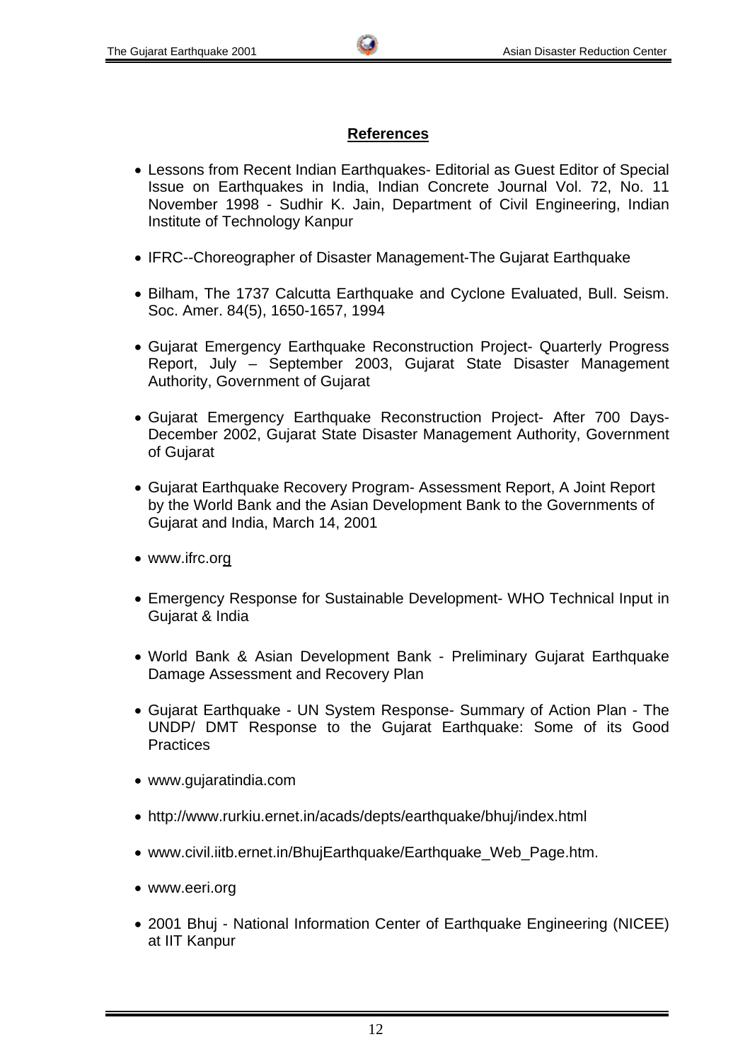## **References**

- Lessons from Recent Indian Earthquakes- Editorial as Guest Editor of Special Issue on Earthquakes in India, Indian Concrete Journal Vol. 72, No. 11 November 1998 - Sudhir K. Jain, Department of Civil Engineering, Indian Institute of Technology Kanpur
- IFRC--Choreographer of Disaster Management-The Gujarat Earthquake
- Bilham, The 1737 Calcutta Earthquake and Cyclone Evaluated, Bull. Seism. Soc. Amer. 84(5), 1650-1657, 1994
- Gujarat Emergency Earthquake Reconstruction Project- Quarterly Progress Report, July – September 2003, Gujarat State Disaster Management Authority, Government of Gujarat
- Gujarat Emergency Earthquake Reconstruction Project- After 700 Days-December 2002, Gujarat State Disaster Management Authority, Government of Gujarat
- Gujarat Earthquake Recovery Program- Assessment Report, A Joint Report by the World Bank and the Asian Development Bank to the Governments of Gujarat and India, March 14, 2001
- www.ifrc.org
- Emergency Response for Sustainable Development- WHO Technical Input in Gujarat & India
- World Bank & Asian Development Bank Preliminary Gujarat Earthquake Damage Assessment and Recovery Plan
- Gujarat Earthquake UN System Response- Summary of Action Plan The UNDP/ DMT Response to the Gujarat Earthquake: Some of its Good **Practices**
- www.gujaratindia.com
- http://www.rurkiu.ernet.in/acads/depts/earthquake/bhuj/index.html
- www.civil.iitb.ernet.in/BhujEarthquake/Earthquake\_Web\_Page.htm.
- www.eeri.org
- 2001 Bhuj National Information Center of Earthquake Engineering (NICEE) at IIT Kanpur